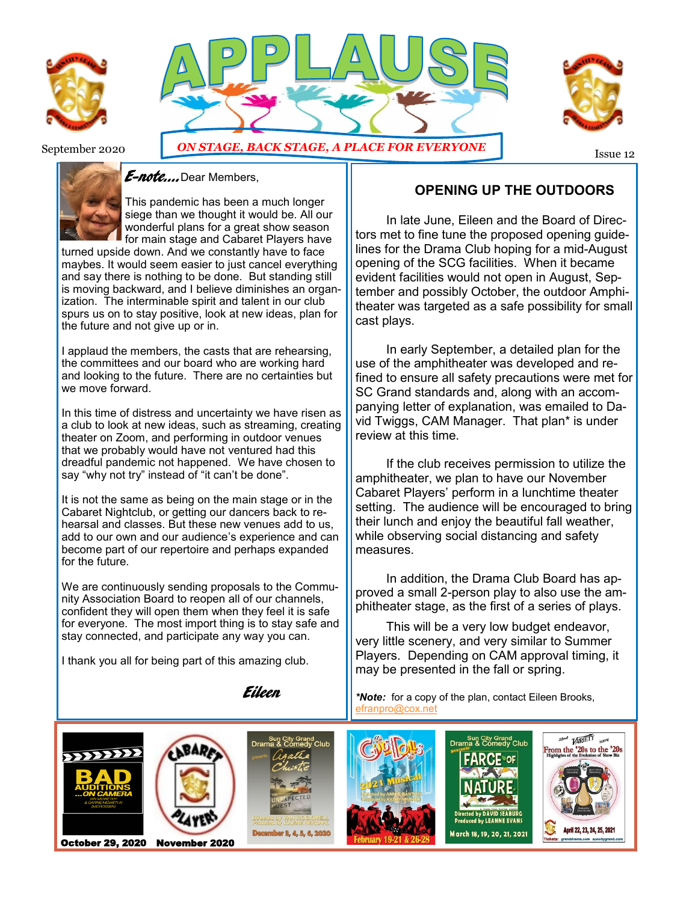





September 2020 **ON STAGE, BACK STAGE, A PLACE FOR EVERYONE** 



#### *E-note....*Dear Members,

This pandemic has been a much longer siege than we thought it would be. All our wonderful plans for a great show season for main stage and Cabaret Players have

turned upside down. And we constantly have to face maybes. It would seem easier to just cancel everything and say there is nothing to be done. But standing still is moving backward, and I believe diminishes an organization. The interminable spirit and talent in our club spurs us on to stay positive, look at new ideas, plan for the future and not give up or in.

I applaud the members, the casts that are rehearsing, the committees and our board who are working hard and looking to the future. There are no certainties but we move forward.

In this time of distress and uncertainty we have risen as a club to look at new ideas, such as streaming, creating theater on Zoom, and performing in outdoor venues that we probably would have not ventured had this dreadful pandemic not happened. We have chosen to say "why not try" instead of "it can't be done".

It is not the same as being on the main stage or in the Cabaret Nightclub, or getting our dancers back to rehearsal and classes. But these new venues add to us, add to our own and our audience's experience and can become part of our repertoire and perhaps expanded for the future.

We are continuously sending proposals to the Community Association Board to reopen all of our channels, confident they will open them when they feel it is safe for everyone. The most import thing is to stay safe and stay connected, and participate any way you can.

I thank you all for being part of this amazing club.

Eileen

## **OPENING UP THE OUTDOORS**

 In late June, Eileen and the Board of Directors met to fine tune the proposed opening guidelines for the Drama Club hoping for a mid-August opening of the SCG facilities. When it became evident facilities would not open in August, September and possibly October, the outdoor Amphitheater was targeted as a safe possibility for small cast plays.

In early September, a detailed plan for the use of the amphitheater was developed and refined to ensure all safety precautions were met for SC Grand standards and, along with an accompanying letter of explanation, was emailed to David Twiggs, CAM Manager. That plan\* is under review at this time.

If the club receives permission to utilize the amphitheater, we plan to have our November Cabaret Players' perform in a lunchtime theater setting. The audience will be encouraged to bring their lunch and enjoy the beautiful fall weather, while observing social distancing and safety measures.

In addition, the Drama Club Board has approved a small 2-person play to also use the amphitheater stage, as the first of a series of plays.

 This will be a very low budget endeavor, very little scenery, and very similar to Summer Players. Depending on CAM approval timing, it may be presented in the fall or spring.

*\*Note:* for a copy of the plan, contact Eileen Brooks, [efranpro@cox.net](mailto:efranpro@cox.net)

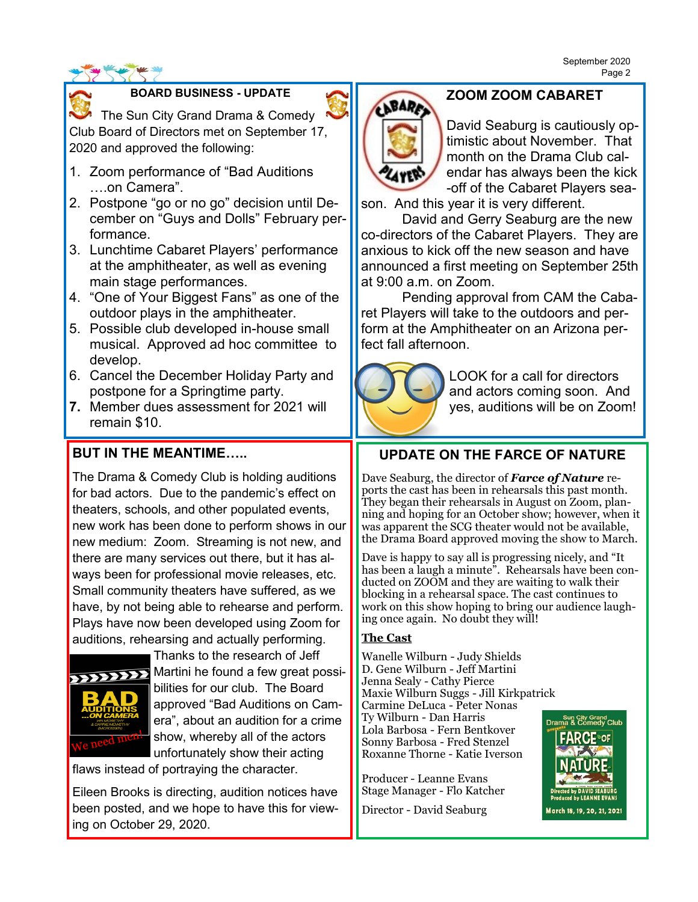#### **BOARD BUSINESS - UPDATE**

The Sun City Grand Drama & Comedy Club Board of Directors met on September 17, 2020 and approved the following:

- 1. Zoom performance of "Bad Auditions ….on Camera".
- 2. Postpone "go or no go" decision until December on "Guys and Dolls" February performance.
- 3. Lunchtime Cabaret Players' performance at the amphitheater, as well as evening main stage performances.
- 4. "One of Your Biggest Fans" as one of the outdoor plays in the amphitheater.
- 5. Possible club developed in-house small musical. Approved ad hoc committee to develop.
- 6. Cancel the December Holiday Party and postpone for a Springtime party.
- **7.** Member dues assessment for 2021 will remain \$10.

## **BUT IN THE MEANTIME…..**

The Drama & Comedy Club is holding auditions for bad actors. Due to the pandemic's effect on theaters, schools, and other populated events, new work has been done to perform shows in our new medium: Zoom. Streaming is not new, and there are many services out there, but it has always been for professional movie releases, etc. Small community theaters have suffered, as we have, by not being able to rehearse and perform. Plays have now been developed using Zoom for auditions, rehearsing and actually performing.



Thanks to the research of Jeff Martini he found a few great possibilities for our club. The Board approved "Bad Auditions on Camera", about an audition for a crime show, whereby all of the actors unfortunately show their acting

flaws instead of portraying the character.

Eileen Brooks is directing, audition notices have been posted, and we hope to have this for viewing on October 29, 2020.

# **ZOOM ZOOM CABARET**

**BARA** 

David Seaburg is cautiously optimistic about November. That month on the Drama Club calendar has always been the kick -off of the Cabaret Players sea-

son. And this year it is very different. David and Gerry Seaburg are the new

co-directors of the Cabaret Players. They are anxious to kick off the new season and have announced a first meeting on September 25th at 9:00 a.m. on Zoom.

Pending approval from CAM the Cabaret Players will take to the outdoors and perform at the Amphitheater on an Arizona perfect fall afternoon.



LOOK for a call for directors and actors coming soon. And yes, auditions will be on Zoom!

# **UPDATE ON THE FARCE OF NATURE**

Dave Seaburg, the director of *Farce of Nature* reports the cast has been in rehearsals this past month. They began their rehearsals in August on Zoom, planning and hoping for an October show; however, when it was apparent the SCG theater would not be available, the Drama Board approved moving the show to March.

Dave is happy to say all is progressing nicely, and "It has been a laugh a minute". Rehearsals have been conducted on ZOOM and they are waiting to walk their blocking in a rehearsal space. The cast continues to work on this show hoping to bring our audience laughing once again. No doubt they will!

#### **The Cast**

Wanelle Wilburn - Judy Shields D. Gene Wilburn - Jeff Martini Jenna Sealy - Cathy Pierce Maxie Wilburn Suggs - Jill Kirkpatrick Carmine DeLuca - Peter Nonas Ty Wilburn - Dan Harris Lola Barbosa - Fern Bentkover Sonny Barbosa - Fred Stenzel Roxanne Thorne - Katie Iverson

Producer - Leanne Evans Stage Manager - Flo Katcher

Director - David Seaburg